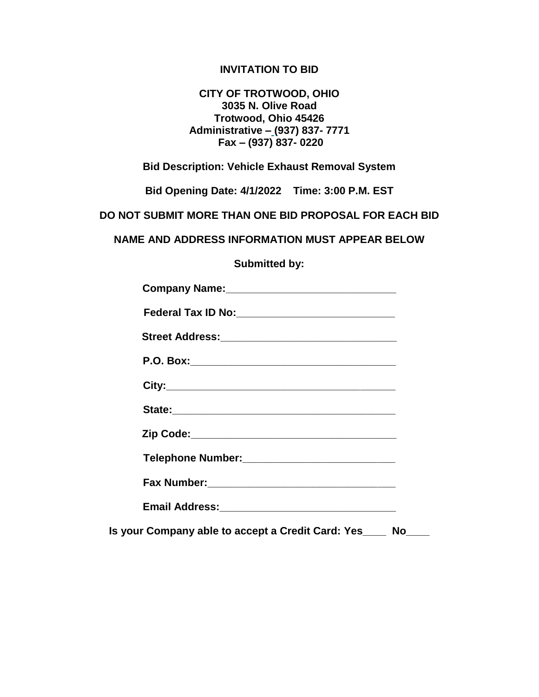### **INVITATION TO BID**

### **CITY OF TROTWOOD, OHIO 3035 N. Olive Road Trotwood, Ohio 45426 Administrative – (937) 837- 7771 Fax – (937) 837- 0220**

**Bid Description: Vehicle Exhaust Removal System**

**Bid Opening Date: 4/1/2022 Time: 3:00 P.M. EST**

**DO NOT SUBMIT MORE THAN ONE BID PROPOSAL FOR EACH BID**

**NAME AND ADDRESS INFORMATION MUST APPEAR BELOW**

**Submitted by:**

| Telephone Number: ____________________________    |  |
|---------------------------------------------------|--|
|                                                   |  |
|                                                   |  |
| Is your Company able to accept a Credit Card: Yes |  |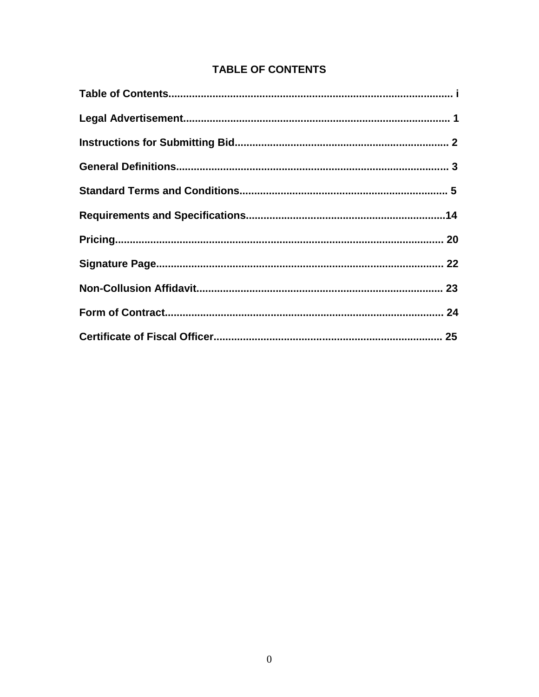# **TABLE OF CONTENTS**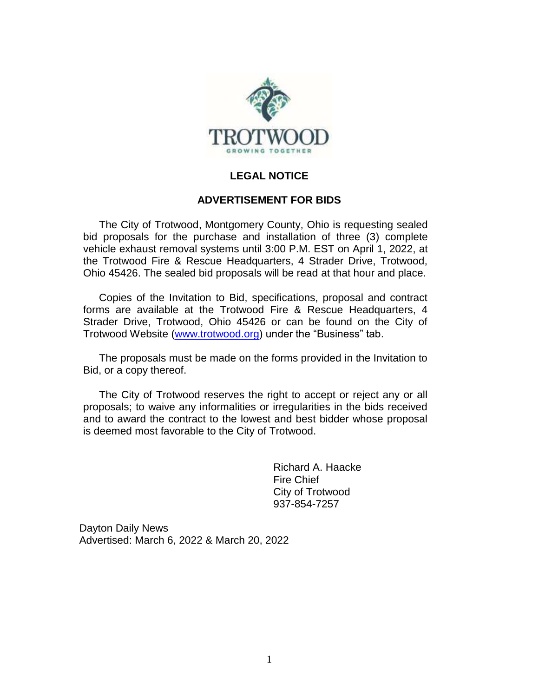

### **LEGAL NOTICE**

### **ADVERTISEMENT FOR BIDS**

The City of Trotwood, Montgomery County, Ohio is requesting sealed bid proposals for the purchase and installation of three (3) complete vehicle exhaust removal systems until 3:00 P.M. EST on April 1, 2022, at the Trotwood Fire & Rescue Headquarters, 4 Strader Drive, Trotwood, Ohio 45426. The sealed bid proposals will be read at that hour and place.

Copies of the Invitation to Bid, specifications, proposal and contract forms are available at the Trotwood Fire & Rescue Headquarters, 4 Strader Drive, Trotwood, Ohio 45426 or can be found on the City of Trotwood Website [\(www.trotwood.org\)](http://www.trotwood.org/) under the "Business" tab.

The proposals must be made on the forms provided in the Invitation to Bid, or a copy thereof.

The City of Trotwood reserves the right to accept or reject any or all proposals; to waive any informalities or irregularities in the bids received and to award the contract to the lowest and best bidder whose proposal is deemed most favorable to the City of Trotwood.

> Richard A. Haacke Fire Chief City of Trotwood 937-854-7257

Dayton Daily News Advertised: March 6, 2022 & March 20, 2022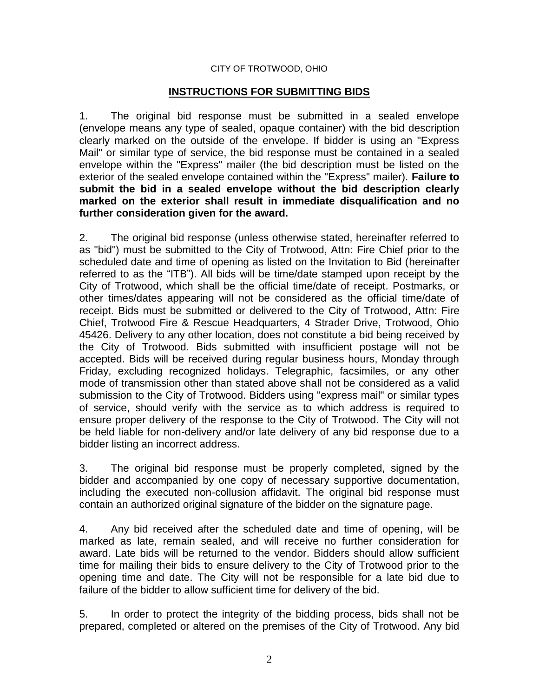### CITY OF TROTWOOD, OHIO

### **INSTRUCTIONS FOR SUBMITTING BIDS**

1. The original bid response must be submitted in a sealed envelope (envelope means any type of sealed, opaque container) with the bid description clearly marked on the outside of the envelope. If bidder is using an "Express Mail" or similar type of service, the bid response must be contained in a sealed envelope within the "Express" mailer (the bid description must be listed on the exterior of the sealed envelope contained within the "Express" mailer). **Failure to submit the bid in a sealed envelope without the bid description clearly marked on the exterior shall result in immediate disqualification and no further consideration given for the award.**

2. The original bid response (unless otherwise stated, hereinafter referred to as "bid") must be submitted to the City of Trotwood, Attn: Fire Chief prior to the scheduled date and time of opening as listed on the Invitation to Bid (hereinafter referred to as the "ITB"). All bids will be time/date stamped upon receipt by the City of Trotwood, which shall be the official time/date of receipt. Postmarks, or other times/dates appearing will not be considered as the official time/date of receipt. Bids must be submitted or delivered to the City of Trotwood, Attn: Fire Chief, Trotwood Fire & Rescue Headquarters, 4 Strader Drive, Trotwood, Ohio 45426. Delivery to any other location, does not constitute a bid being received by the City of Trotwood. Bids submitted with insufficient postage will not be accepted. Bids will be received during regular business hours, Monday through Friday, excluding recognized holidays. Telegraphic, facsimiles, or any other mode of transmission other than stated above shall not be considered as a valid submission to the City of Trotwood. Bidders using "express mail" or similar types of service, should verify with the service as to which address is required to ensure proper delivery of the response to the City of Trotwood. The City will not be held liable for non-delivery and/or late delivery of any bid response due to a bidder listing an incorrect address.

3. The original bid response must be properly completed, signed by the bidder and accompanied by one copy of necessary supportive documentation, including the executed non-collusion affidavit. The original bid response must contain an authorized original signature of the bidder on the signature page.

4. Any bid received after the scheduled date and time of opening, will be marked as late, remain sealed, and will receive no further consideration for award. Late bids will be returned to the vendor. Bidders should allow sufficient time for mailing their bids to ensure delivery to the City of Trotwood prior to the opening time and date. The City will not be responsible for a late bid due to failure of the bidder to allow sufficient time for delivery of the bid.

5. In order to protect the integrity of the bidding process, bids shall not be prepared, completed or altered on the premises of the City of Trotwood. Any bid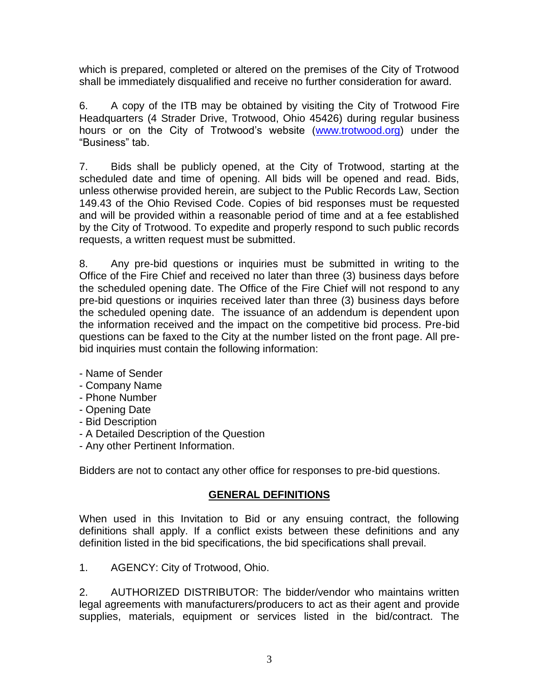which is prepared, completed or altered on the premises of the City of Trotwood shall be immediately disqualified and receive no further consideration for award.

6. A copy of the ITB may be obtained by visiting the City of Trotwood Fire Headquarters (4 Strader Drive, Trotwood, Ohio 45426) during regular business hours or on the City of Trotwood's website [\(www.trotwood.org\)](http://www.trotwood.org/) under the "Business" tab.

7. Bids shall be publicly opened, at the City of Trotwood, starting at the scheduled date and time of opening. All bids will be opened and read. Bids, unless otherwise provided herein, are subject to the Public Records Law, Section 149.43 of the Ohio Revised Code. Copies of bid responses must be requested and will be provided within a reasonable period of time and at a fee established by the City of Trotwood. To expedite and properly respond to such public records requests, a written request must be submitted.

8. Any pre-bid questions or inquiries must be submitted in writing to the Office of the Fire Chief and received no later than three (3) business days before the scheduled opening date. The Office of the Fire Chief will not respond to any pre-bid questions or inquiries received later than three (3) business days before the scheduled opening date. The issuance of an addendum is dependent upon the information received and the impact on the competitive bid process. Pre-bid questions can be faxed to the City at the number listed on the front page. All prebid inquiries must contain the following information:

- Name of Sender
- Company Name
- Phone Number
- Opening Date
- Bid Description
- A Detailed Description of the Question
- Any other Pertinent Information.

Bidders are not to contact any other office for responses to pre-bid questions.

### **GENERAL DEFINITIONS**

When used in this Invitation to Bid or any ensuing contract, the following definitions shall apply. If a conflict exists between these definitions and any definition listed in the bid specifications, the bid specifications shall prevail.

1. AGENCY: City of Trotwood, Ohio.

2. AUTHORIZED DISTRIBUTOR: The bidder/vendor who maintains written legal agreements with manufacturers/producers to act as their agent and provide supplies, materials, equipment or services listed in the bid/contract. The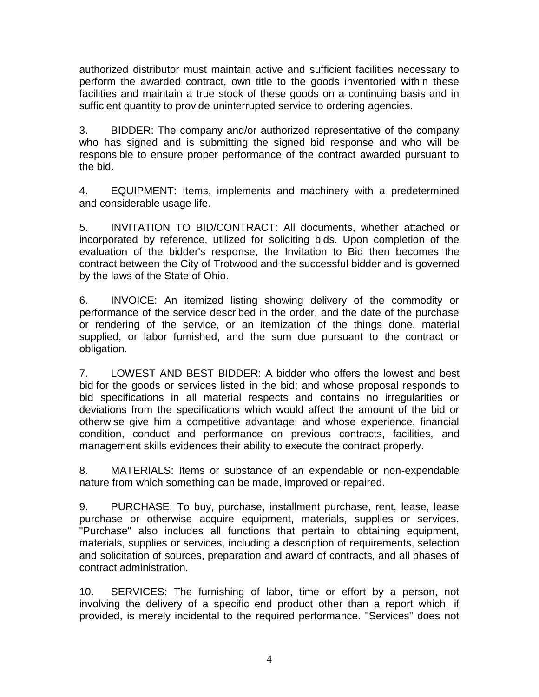authorized distributor must maintain active and sufficient facilities necessary to perform the awarded contract, own title to the goods inventoried within these facilities and maintain a true stock of these goods on a continuing basis and in sufficient quantity to provide uninterrupted service to ordering agencies.

3. BIDDER: The company and/or authorized representative of the company who has signed and is submitting the signed bid response and who will be responsible to ensure proper performance of the contract awarded pursuant to the bid.

4. EQUIPMENT: Items, implements and machinery with a predetermined and considerable usage life.

5. INVITATION TO BID/CONTRACT: All documents, whether attached or incorporated by reference, utilized for soliciting bids. Upon completion of the evaluation of the bidder's response, the Invitation to Bid then becomes the contract between the City of Trotwood and the successful bidder and is governed by the laws of the State of Ohio.

6. INVOICE: An itemized listing showing delivery of the commodity or performance of the service described in the order, and the date of the purchase or rendering of the service, or an itemization of the things done, material supplied, or labor furnished, and the sum due pursuant to the contract or obligation.

7. LOWEST AND BEST BIDDER: A bidder who offers the lowest and best bid for the goods or services listed in the bid; and whose proposal responds to bid specifications in all material respects and contains no irregularities or deviations from the specifications which would affect the amount of the bid or otherwise give him a competitive advantage; and whose experience, financial condition, conduct and performance on previous contracts, facilities, and management skills evidences their ability to execute the contract properly.

8. MATERIALS: Items or substance of an expendable or non-expendable nature from which something can be made, improved or repaired.

9. PURCHASE: To buy, purchase, installment purchase, rent, lease, lease purchase or otherwise acquire equipment, materials, supplies or services. "Purchase" also includes all functions that pertain to obtaining equipment, materials, supplies or services, including a description of requirements, selection and solicitation of sources, preparation and award of contracts, and all phases of contract administration.

10. SERVICES: The furnishing of labor, time or effort by a person, not involving the delivery of a specific end product other than a report which, if provided, is merely incidental to the required performance. "Services" does not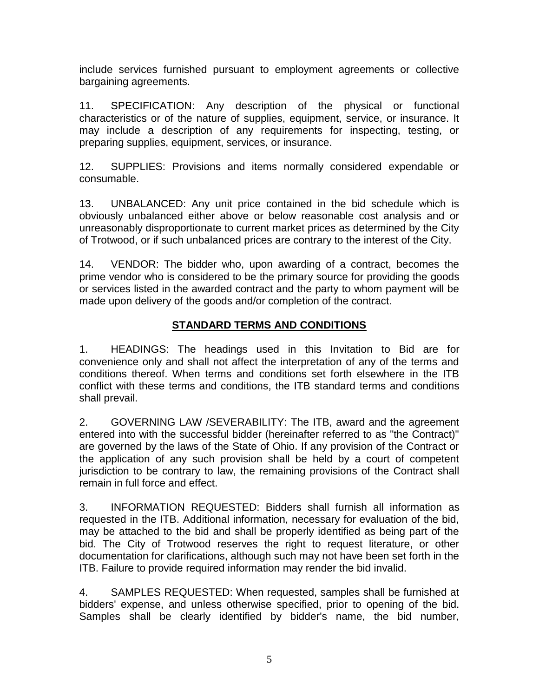include services furnished pursuant to employment agreements or collective bargaining agreements.

11. SPECIFICATION: Any description of the physical or functional characteristics or of the nature of supplies, equipment, service, or insurance. It may include a description of any requirements for inspecting, testing, or preparing supplies, equipment, services, or insurance.

12. SUPPLIES: Provisions and items normally considered expendable or consumable.

13. UNBALANCED: Any unit price contained in the bid schedule which is obviously unbalanced either above or below reasonable cost analysis and or unreasonably disproportionate to current market prices as determined by the City of Trotwood, or if such unbalanced prices are contrary to the interest of the City.

14. VENDOR: The bidder who, upon awarding of a contract, becomes the prime vendor who is considered to be the primary source for providing the goods or services listed in the awarded contract and the party to whom payment will be made upon delivery of the goods and/or completion of the contract.

# **STANDARD TERMS AND CONDITIONS**

1. HEADINGS: The headings used in this Invitation to Bid are for convenience only and shall not affect the interpretation of any of the terms and conditions thereof. When terms and conditions set forth elsewhere in the ITB conflict with these terms and conditions, the ITB standard terms and conditions shall prevail.

2. GOVERNING LAW /SEVERABILITY: The ITB, award and the agreement entered into with the successful bidder (hereinafter referred to as "the Contract)" are governed by the laws of the State of Ohio. If any provision of the Contract or the application of any such provision shall be held by a court of competent jurisdiction to be contrary to law, the remaining provisions of the Contract shall remain in full force and effect.

3. INFORMATION REQUESTED: Bidders shall furnish all information as requested in the ITB. Additional information, necessary for evaluation of the bid, may be attached to the bid and shall be properly identified as being part of the bid. The City of Trotwood reserves the right to request literature, or other documentation for clarifications, although such may not have been set forth in the ITB. Failure to provide required information may render the bid invalid.

4. SAMPLES REQUESTED: When requested, samples shall be furnished at bidders' expense, and unless otherwise specified, prior to opening of the bid. Samples shall be clearly identified by bidder's name, the bid number,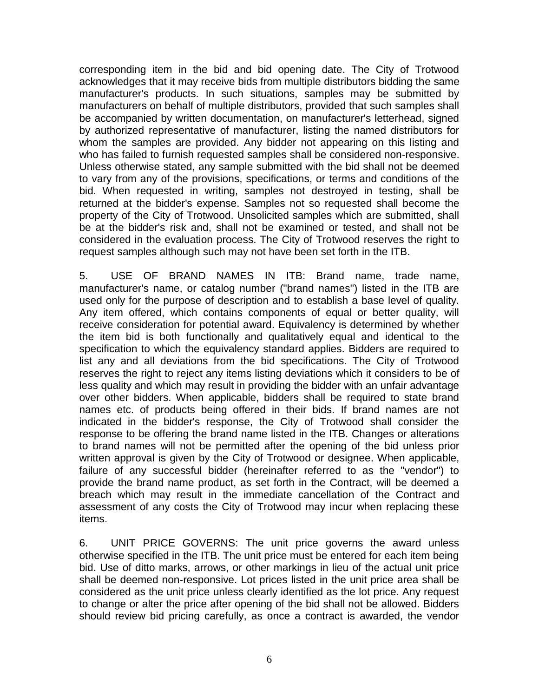corresponding item in the bid and bid opening date. The City of Trotwood acknowledges that it may receive bids from multiple distributors bidding the same manufacturer's products. In such situations, samples may be submitted by manufacturers on behalf of multiple distributors, provided that such samples shall be accompanied by written documentation, on manufacturer's letterhead, signed by authorized representative of manufacturer, listing the named distributors for whom the samples are provided. Any bidder not appearing on this listing and who has failed to furnish requested samples shall be considered non-responsive. Unless otherwise stated, any sample submitted with the bid shall not be deemed to vary from any of the provisions, specifications, or terms and conditions of the bid. When requested in writing, samples not destroyed in testing, shall be returned at the bidder's expense. Samples not so requested shall become the property of the City of Trotwood. Unsolicited samples which are submitted, shall be at the bidder's risk and, shall not be examined or tested, and shall not be considered in the evaluation process. The City of Trotwood reserves the right to request samples although such may not have been set forth in the ITB.

5. USE OF BRAND NAMES IN ITB: Brand name, trade name, manufacturer's name, or catalog number ("brand names") listed in the ITB are used only for the purpose of description and to establish a base level of quality. Any item offered, which contains components of equal or better quality, will receive consideration for potential award. Equivalency is determined by whether the item bid is both functionally and qualitatively equal and identical to the specification to which the equivalency standard applies. Bidders are required to list any and all deviations from the bid specifications. The City of Trotwood reserves the right to reject any items listing deviations which it considers to be of less quality and which may result in providing the bidder with an unfair advantage over other bidders. When applicable, bidders shall be required to state brand names etc. of products being offered in their bids. If brand names are not indicated in the bidder's response, the City of Trotwood shall consider the response to be offering the brand name listed in the ITB. Changes or alterations to brand names will not be permitted after the opening of the bid unless prior written approval is given by the City of Trotwood or designee. When applicable, failure of any successful bidder (hereinafter referred to as the "vendor") to provide the brand name product, as set forth in the Contract, will be deemed a breach which may result in the immediate cancellation of the Contract and assessment of any costs the City of Trotwood may incur when replacing these items.

6. UNIT PRICE GOVERNS: The unit price governs the award unless otherwise specified in the ITB. The unit price must be entered for each item being bid. Use of ditto marks, arrows, or other markings in lieu of the actual unit price shall be deemed non-responsive. Lot prices listed in the unit price area shall be considered as the unit price unless clearly identified as the lot price. Any request to change or alter the price after opening of the bid shall not be allowed. Bidders should review bid pricing carefully, as once a contract is awarded, the vendor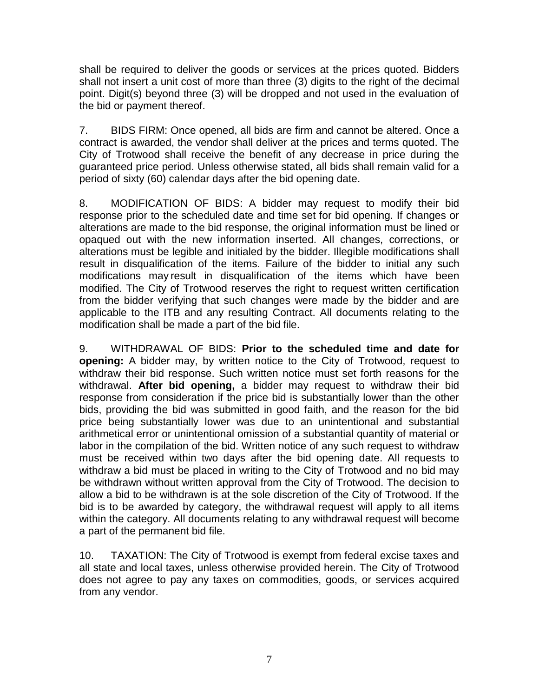shall be required to deliver the goods or services at the prices quoted. Bidders shall not insert a unit cost of more than three (3) digits to the right of the decimal point. Digit(s) beyond three (3) will be dropped and not used in the evaluation of the bid or payment thereof.

7. BIDS FIRM: Once opened, all bids are firm and cannot be altered. Once a contract is awarded, the vendor shall deliver at the prices and terms quoted. The City of Trotwood shall receive the benefit of any decrease in price during the guaranteed price period. Unless otherwise stated, all bids shall remain valid for a period of sixty (60) calendar days after the bid opening date.

8. MODIFICATION OF BIDS: A bidder may request to modify their bid response prior to the scheduled date and time set for bid opening. If changes or alterations are made to the bid response, the original information must be lined or opaqued out with the new information inserted. All changes, corrections, or alterations must be legible and initialed by the bidder. Illegible modifications shall result in disqualification of the items. Failure of the bidder to initial any such modifications may result in disqualification of the items which have been modified. The City of Trotwood reserves the right to request written certification from the bidder verifying that such changes were made by the bidder and are applicable to the ITB and any resulting Contract. All documents relating to the modification shall be made a part of the bid file.

9. WITHDRAWAL OF BIDS: **Prior to the scheduled time and date for opening:** A bidder may, by written notice to the City of Trotwood, request to withdraw their bid response. Such written notice must set forth reasons for the withdrawal. **After bid opening,** a bidder may request to withdraw their bid response from consideration if the price bid is substantially lower than the other bids, providing the bid was submitted in good faith, and the reason for the bid price being substantially lower was due to an unintentional and substantial arithmetical error or unintentional omission of a substantial quantity of material or labor in the compilation of the bid. Written notice of any such request to withdraw must be received within two days after the bid opening date. All requests to withdraw a bid must be placed in writing to the City of Trotwood and no bid may be withdrawn without written approval from the City of Trotwood. The decision to allow a bid to be withdrawn is at the sole discretion of the City of Trotwood. If the bid is to be awarded by category, the withdrawal request will apply to all items within the category. All documents relating to any withdrawal request will become a part of the permanent bid file.

10. TAXATION: The City of Trotwood is exempt from federal excise taxes and all state and local taxes, unless otherwise provided herein. The City of Trotwood does not agree to pay any taxes on commodities, goods, or services acquired from any vendor.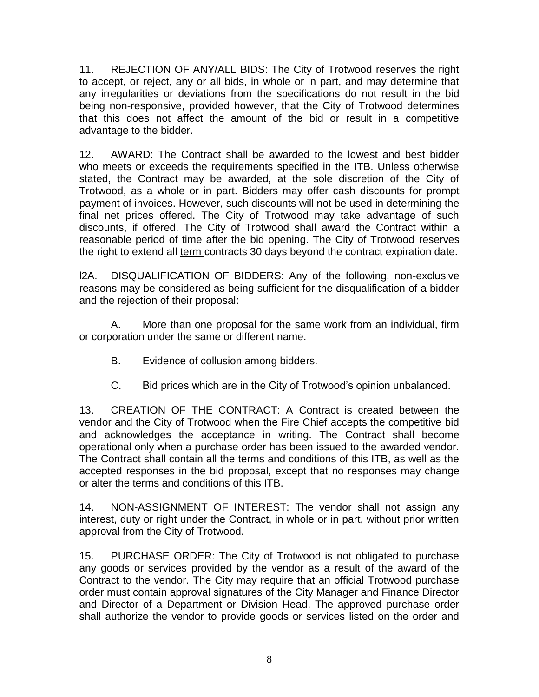11. REJECTION OF ANY/ALL BIDS: The City of Trotwood reserves the right to accept, or reject, any or all bids, in whole or in part, and may determine that any irregularities or deviations from the specifications do not result in the bid being non-responsive, provided however, that the City of Trotwood determines that this does not affect the amount of the bid or result in a competitive advantage to the bidder.

12. AWARD: The Contract shall be awarded to the lowest and best bidder who meets or exceeds the requirements specified in the ITB. Unless otherwise stated, the Contract may be awarded, at the sole discretion of the City of Trotwood, as a whole or in part. Bidders may offer cash discounts for prompt payment of invoices. However, such discounts will not be used in determining the final net prices offered. The City of Trotwood may take advantage of such discounts, if offered. The City of Trotwood shall award the Contract within a reasonable period of time after the bid opening. The City of Trotwood reserves the right to extend all term contracts 30 days beyond the contract expiration date.

l2A. DISQUALIFICATION OF BIDDERS: Any of the following, non-exclusive reasons may be considered as being sufficient for the disqualification of a bidder and the rejection of their proposal:

A. More than one proposal for the same work from an individual, firm or corporation under the same or different name.

- B. Evidence of collusion among bidders.
- C. Bid prices which are in the City of Trotwood's opinion unbalanced.

13. CREATION OF THE CONTRACT: A Contract is created between the vendor and the City of Trotwood when the Fire Chief accepts the competitive bid and acknowledges the acceptance in writing. The Contract shall become operational only when a purchase order has been issued to the awarded vendor. The Contract shall contain all the terms and conditions of this ITB, as well as the accepted responses in the bid proposal, except that no responses may change or alter the terms and conditions of this ITB.

14. NON-ASSIGNMENT OF INTEREST: The vendor shall not assign any interest, duty or right under the Contract, in whole or in part, without prior written approval from the City of Trotwood.

15. PURCHASE ORDER: The City of Trotwood is not obligated to purchase any goods or services provided by the vendor as a result of the award of the Contract to the vendor. The City may require that an official Trotwood purchase order must contain approval signatures of the City Manager and Finance Director and Director of a Department or Division Head. The approved purchase order shall authorize the vendor to provide goods or services listed on the order and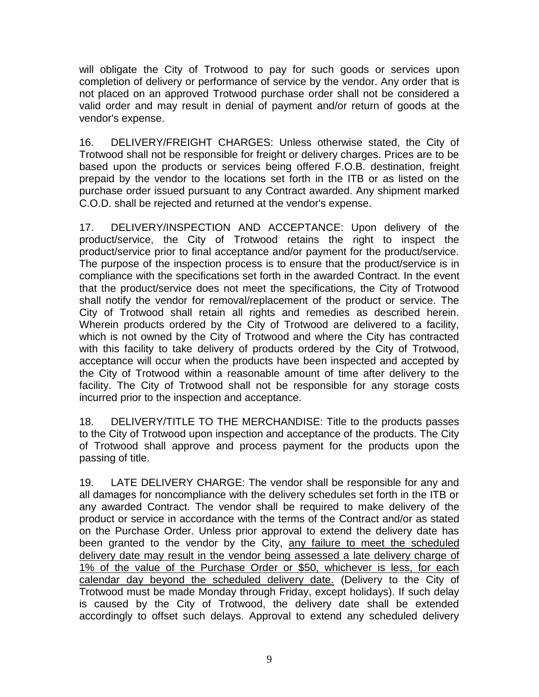will obligate the City of Trotwood to pay for such goods or services upon completion of delivery or performance of service by the vendor. Any order that is not placed on an approved Trotwood purchase order shall not be considered a valid order and may result in denial of payment and/or return of goods at the vendor's expense.

16. DELIVERY/FREIGHT CHARGES: Unless otherwise stated, the City of Trotwood shall not be responsible for freight or delivery charges. Prices are to be based upon the products or services being offered F.O.B. destination, freight prepaid by the vendor to the locations set forth in the ITB or as listed on the purchase order issued pursuant to any Contract awarded. Any shipment marked C.O.D. shall be rejected and returned at the vendor's expense.

17. DELIVERY/INSPECTION AND ACCEPTANCE: Upon delivery of the product/service, the City of Trotwood retains the right to inspect the product/service prior to final acceptance and/or payment for the product/service. The purpose of the inspection process is to ensure that the product/service is in compliance with the specifications set forth in the awarded Contract. In the event that the product/service does not meet the specifications, the City of Trotwood shall notify the vendor for removal/replacement of the product or service. The City of Trotwood shall retain all rights and remedies as described herein. Wherein products ordered by the City of Trotwood are delivered to a facility, which is not owned by the City of Trotwood and where the City has contracted with this facility to take delivery of products ordered by the City of Trotwood, acceptance will occur when the products have been inspected and accepted by the City of Trotwood within a reasonable amount of time after delivery to the facility. The City of Trotwood shall not be responsible for any storage costs incurred prior to the inspection and acceptance.

18. DELIVERY/TITLE TO THE MERCHANDISE: Title to the products passes to the City of Trotwood upon inspection and acceptance of the products. The City of Trotwood shall approve and process payment for the products upon the passing of title.

19. LATE DELIVERY CHARGE: The vendor shall be responsible for any and all damages for noncompliance with the delivery schedules set forth in the ITB or any awarded Contract. The vendor shall be required to make delivery of the product or service in accordance with the terms of the Contract and/or as stated on the Purchase Order. Unless prior approval to extend the delivery date has been granted to the vendor by the City, any failure to meet the scheduled delivery date may result in the vendor being assessed a late delivery charge of 1% of the value of the Purchase Order or \$50, whichever is less, for each calendar day beyond the scheduled delivery date. (Delivery to the City of Trotwood must be made Monday through Friday, except holidays). If such delay is caused by the City of Trotwood, the delivery date shall be extended accordingly to offset such delays. Approval to extend any scheduled delivery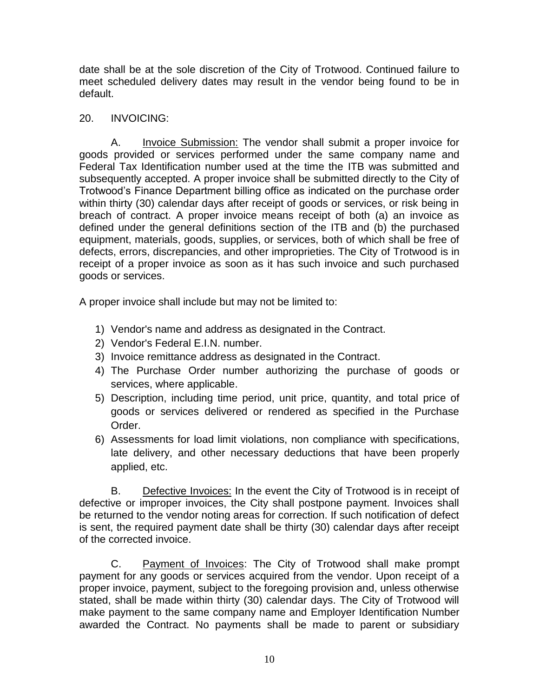date shall be at the sole discretion of the City of Trotwood. Continued failure to meet scheduled delivery dates may result in the vendor being found to be in default.

# 20. INVOICING:

A. Invoice Submission: The vendor shall submit a proper invoice for goods provided or services performed under the same company name and Federal Tax Identification number used at the time the ITB was submitted and subsequently accepted. A proper invoice shall be submitted directly to the City of Trotwood's Finance Department billing office as indicated on the purchase order within thirty (30) calendar days after receipt of goods or services, or risk being in breach of contract. A proper invoice means receipt of both (a) an invoice as defined under the general definitions section of the ITB and (b) the purchased equipment, materials, goods, supplies, or services, both of which shall be free of defects, errors, discrepancies, and other improprieties. The City of Trotwood is in receipt of a proper invoice as soon as it has such invoice and such purchased goods or services.

A proper invoice shall include but may not be limited to:

- 1) Vendor's name and address as designated in the Contract.
- 2) Vendor's Federal E.I.N. number.
- 3) Invoice remittance address as designated in the Contract.
- 4) The Purchase Order number authorizing the purchase of goods or services, where applicable.
- 5) Description, including time period, unit price, quantity, and total price of goods or services delivered or rendered as specified in the Purchase Order.
- 6) Assessments for load limit violations, non compliance with specifications, late delivery, and other necessary deductions that have been properly applied, etc.

B. Defective Invoices: In the event the City of Trotwood is in receipt of defective or improper invoices, the City shall postpone payment. Invoices shall be returned to the vendor noting areas for correction. If such notification of defect is sent, the required payment date shall be thirty (30) calendar days after receipt of the corrected invoice.

C. Payment of Invoices: The City of Trotwood shall make prompt payment for any goods or services acquired from the vendor. Upon receipt of a proper invoice, payment, subject to the foregoing provision and, unless otherwise stated, shall be made within thirty (30) calendar days. The City of Trotwood will make payment to the same company name and Employer Identification Number awarded the Contract. No payments shall be made to parent or subsidiary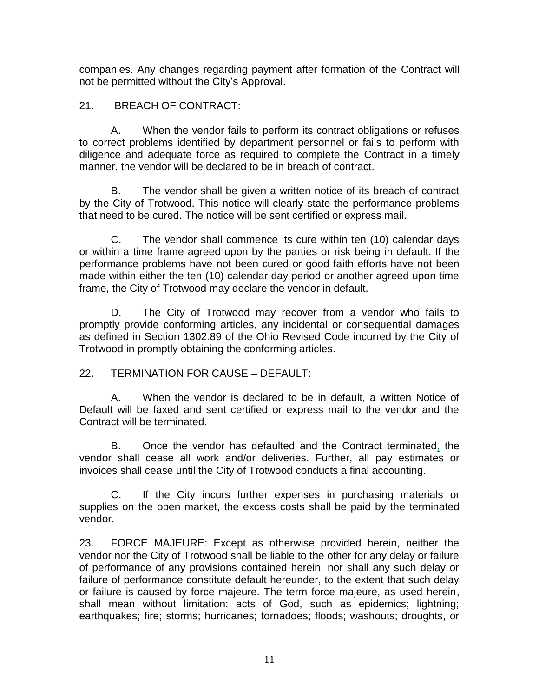companies. Any changes regarding payment after formation of the Contract will not be permitted without the City's Approval.

# 21. BREACH OF CONTRACT:

A. When the vendor fails to perform its contract obligations or refuses to correct problems identified by department personnel or fails to perform with diligence and adequate force as required to complete the Contract in a timely manner, the vendor will be declared to be in breach of contract.

B. The vendor shall be given a written notice of its breach of contract by the City of Trotwood. This notice will clearly state the performance problems that need to be cured. The notice will be sent certified or express mail.

C. The vendor shall commence its cure within ten (10) calendar days or within a time frame agreed upon by the parties or risk being in default. If the performance problems have not been cured or good faith efforts have not been made within either the ten (10) calendar day period or another agreed upon time frame, the City of Trotwood may declare the vendor in default.

D. The City of Trotwood may recover from a vendor who fails to promptly provide conforming articles, any incidental or consequential damages as defined in Section 1302.89 of the Ohio Revised Code incurred by the City of Trotwood in promptly obtaining the conforming articles.

22. TERMINATION FOR CAUSE – DEFAULT:

A. When the vendor is declared to be in default, a written Notice of Default will be faxed and sent certified or express mail to the vendor and the Contract will be terminated.

B. Once the vendor has defaulted and the Contract terminated, the vendor shall cease all work and/or deliveries. Further, all pay estimates or invoices shall cease until the City of Trotwood conducts a final accounting.

C. If the City incurs further expenses in purchasing materials or supplies on the open market, the excess costs shall be paid by the terminated vendor.

23. FORCE MAJEURE: Except as otherwise provided herein, neither the vendor nor the City of Trotwood shall be liable to the other for any delay or failure of performance of any provisions contained herein, nor shall any such delay or failure of performance constitute default hereunder, to the extent that such delay or failure is caused by force majeure. The term force majeure, as used herein, shall mean without limitation: acts of God, such as epidemics; lightning; earthquakes; fire; storms; hurricanes; tornadoes; floods; washouts; droughts, or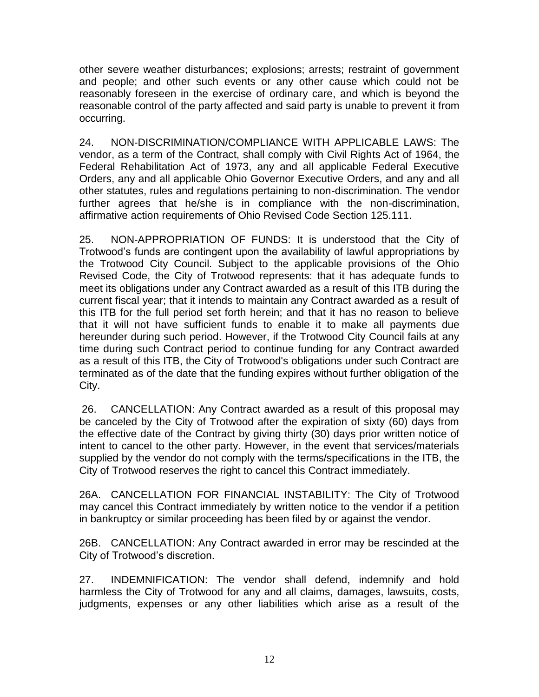other severe weather disturbances; explosions; arrests; restraint of government and people; and other such events or any other cause which could not be reasonably foreseen in the exercise of ordinary care, and which is beyond the reasonable control of the party affected and said party is unable to prevent it from occurring.

24. NON-DISCRIMINATION/COMPLIANCE WITH APPLICABLE LAWS: The vendor, as a term of the Contract, shall comply with Civil Rights Act of 1964, the Federal Rehabilitation Act of 1973, any and all applicable Federal Executive Orders, any and all applicable Ohio Governor Executive Orders, and any and all other statutes, rules and regulations pertaining to non-discrimination. The vendor further agrees that he/she is in compliance with the non-discrimination, affirmative action requirements of Ohio Revised Code Section 125.111.

25. NON-APPROPRIATION OF FUNDS: It is understood that the City of Trotwood's funds are contingent upon the availability of lawful appropriations by the Trotwood City Council. Subject to the applicable provisions of the Ohio Revised Code, the City of Trotwood represents: that it has adequate funds to meet its obligations under any Contract awarded as a result of this ITB during the current fiscal year; that it intends to maintain any Contract awarded as a result of this ITB for the full period set forth herein; and that it has no reason to believe that it will not have sufficient funds to enable it to make all payments due hereunder during such period. However, if the Trotwood City Council fails at any time during such Contract period to continue funding for any Contract awarded as a result of this ITB, the City of Trotwood's obligations under such Contract are terminated as of the date that the funding expires without further obligation of the City.

26. CANCELLATION: Any Contract awarded as a result of this proposal may be canceled by the City of Trotwood after the expiration of sixty (60) days from the effective date of the Contract by giving thirty (30) days prior written notice of intent to cancel to the other party. However, in the event that services/materials supplied by the vendor do not comply with the terms/specifications in the ITB, the City of Trotwood reserves the right to cancel this Contract immediately.

26A. CANCELLATION FOR FINANCIAL INSTABILITY: The City of Trotwood may cancel this Contract immediately by written notice to the vendor if a petition in bankruptcy or similar proceeding has been filed by or against the vendor.

26B. CANCELLATION: Any Contract awarded in error may be rescinded at the City of Trotwood's discretion.

27. INDEMNIFICATION: The vendor shall defend, indemnify and hold harmless the City of Trotwood for any and all claims, damages, lawsuits, costs, judgments, expenses or any other liabilities which arise as a result of the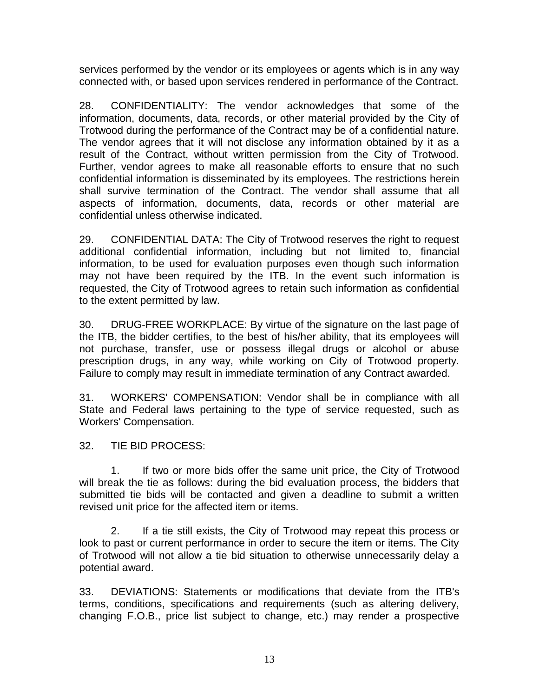services performed by the vendor or its employees or agents which is in any way connected with, or based upon services rendered in performance of the Contract.

28. CONFIDENTIALITY: The vendor acknowledges that some of the information, documents, data, records, or other material provided by the City of Trotwood during the performance of the Contract may be of a confidential nature. The vendor agrees that it will not disclose any information obtained by it as a result of the Contract, without written permission from the City of Trotwood. Further, vendor agrees to make all reasonable efforts to ensure that no such confidential information is disseminated by its employees. The restrictions herein shall survive termination of the Contract. The vendor shall assume that all aspects of information, documents, data, records or other material are confidential unless otherwise indicated.

29. CONFIDENTIAL DATA: The City of Trotwood reserves the right to request additional confidential information, including but not limited to, financial information, to be used for evaluation purposes even though such information may not have been required by the ITB. In the event such information is requested, the City of Trotwood agrees to retain such information as confidential to the extent permitted by law.

30. DRUG-FREE WORKPLACE: By virtue of the signature on the last page of the ITB, the bidder certifies, to the best of his/her ability, that its employees will not purchase, transfer, use or possess illegal drugs or alcohol or abuse prescription drugs, in any way, while working on City of Trotwood property. Failure to comply may result in immediate termination of any Contract awarded.

31. WORKERS' COMPENSATION: Vendor shall be in compliance with all State and Federal laws pertaining to the type of service requested, such as Workers' Compensation.

32. TIE BID PROCESS:

1. If two or more bids offer the same unit price, the City of Trotwood will break the tie as follows: during the bid evaluation process, the bidders that submitted tie bids will be contacted and given a deadline to submit a written revised unit price for the affected item or items.

2. If a tie still exists, the City of Trotwood may repeat this process or look to past or current performance in order to secure the item or items. The City of Trotwood will not allow a tie bid situation to otherwise unnecessarily delay a potential award.

33. DEVIATIONS: Statements or modifications that deviate from the ITB's terms, conditions, specifications and requirements (such as altering delivery, changing F.O.B., price list subject to change, etc.) may render a prospective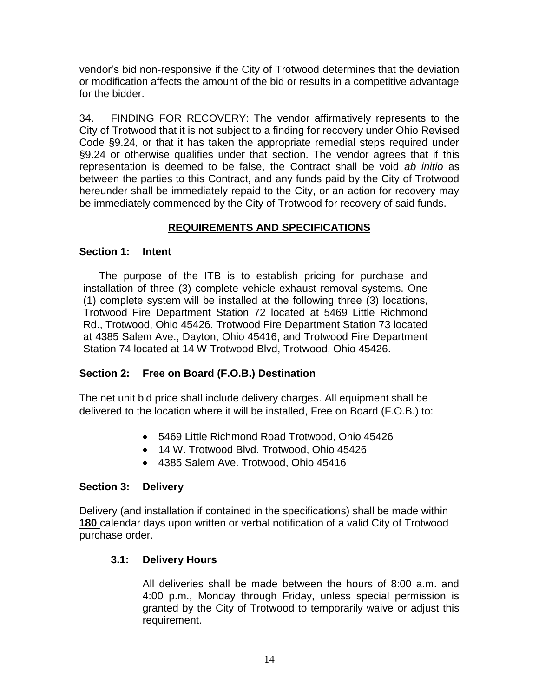vendor's bid non-responsive if the City of Trotwood determines that the deviation or modification affects the amount of the bid or results in a competitive advantage for the bidder.

34. FINDING FOR RECOVERY: The vendor affirmatively represents to the City of Trotwood that it is not subject to a finding for recovery under Ohio Revised Code §9.24, or that it has taken the appropriate remedial steps required under §9.24 or otherwise qualifies under that section. The vendor agrees that if this representation is deemed to be false, the Contract shall be void *ab initio* as between the parties to this Contract, and any funds paid by the City of Trotwood hereunder shall be immediately repaid to the City, or an action for recovery may be immediately commenced by the City of Trotwood for recovery of said funds.

# **REQUIREMENTS AND SPECIFICATIONS**

# **Section 1: Intent**

The purpose of the ITB is to establish pricing for purchase and installation of three (3) complete vehicle exhaust removal systems. One (1) complete system will be installed at the following three (3) locations, Trotwood Fire Department Station 72 located at 5469 Little Richmond Rd., Trotwood, Ohio 45426. Trotwood Fire Department Station 73 located at 4385 Salem Ave., Dayton, Ohio 45416, and Trotwood Fire Department Station 74 located at 14 W Trotwood Blvd, Trotwood, Ohio 45426.

# **Section 2: Free on Board (F.O.B.) Destination**

The net unit bid price shall include delivery charges. All equipment shall be delivered to the location where it will be installed, Free on Board (F.O.B.) to:

- 5469 Little Richmond Road Trotwood, Ohio 45426
- 14 W. Trotwood Blvd. Trotwood, Ohio 45426
- 4385 Salem Ave. Trotwood, Ohio 45416

# **Section 3: Delivery**

Delivery (and installation if contained in the specifications) shall be made within **180** calendar days upon written or verbal notification of a valid City of Trotwood purchase order.

# **3.1: Delivery Hours**

All deliveries shall be made between the hours of 8:00 a.m. and 4:00 p.m., Monday through Friday, unless special permission is granted by the City of Trotwood to temporarily waive or adjust this requirement.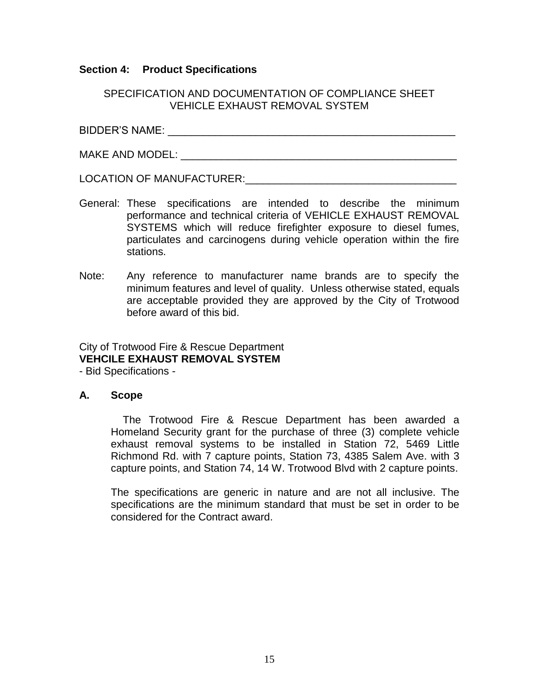### **Section 4: Product Specifications**

### SPECIFICATION AND DOCUMENTATION OF COMPLIANCE SHEET VEHICLE EXHAUST REMOVAL SYSTEM

BIDDER'S NAME: \_\_\_\_\_\_\_\_\_\_\_\_\_\_\_\_\_\_\_\_\_\_\_\_\_\_\_\_\_\_\_\_\_\_\_\_\_\_\_\_\_\_\_\_\_\_\_\_\_

MAKE AND MODEL: \_\_\_\_\_\_\_\_\_\_\_\_\_\_\_\_\_\_\_\_\_\_\_\_\_\_\_\_\_\_\_\_\_\_\_\_\_\_\_\_\_\_\_\_\_\_\_

LOCATION OF MANUFACTURER:\_\_\_\_\_\_\_\_\_\_\_\_\_\_\_\_\_\_\_\_\_\_\_\_\_\_\_\_\_\_\_\_\_\_\_\_

- General: These specifications are intended to describe the minimum performance and technical criteria of VEHICLE EXHAUST REMOVAL SYSTEMS which will reduce firefighter exposure to diesel fumes, particulates and carcinogens during vehicle operation within the fire stations.
- Note: Any reference to manufacturer name brands are to specify the minimum features and level of quality. Unless otherwise stated, equals are acceptable provided they are approved by the City of Trotwood before award of this bid.

# City of Trotwood Fire & Rescue Department **VEHCILE EXHAUST REMOVAL SYSTEM**

- Bid Specifications -

### **A. Scope**

The Trotwood Fire & Rescue Department has been awarded a Homeland Security grant for the purchase of three (3) complete vehicle exhaust removal systems to be installed in Station 72, 5469 Little Richmond Rd. with 7 capture points, Station 73, 4385 Salem Ave. with 3 capture points, and Station 74, 14 W. Trotwood Blvd with 2 capture points.

The specifications are generic in nature and are not all inclusive. The specifications are the minimum standard that must be set in order to be considered for the Contract award.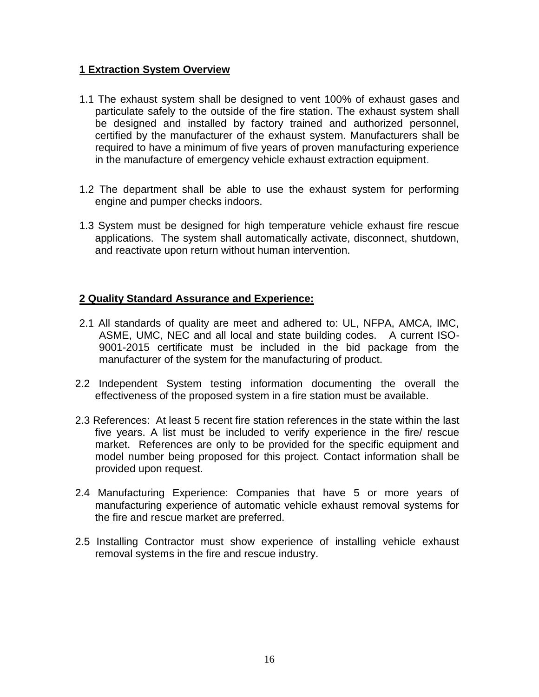### **1 Extraction System Overview**

- 1.1 The exhaust system shall be designed to vent 100% of exhaust gases and particulate safely to the outside of the fire station. The exhaust system shall be designed and installed by factory trained and authorized personnel, certified by the manufacturer of the exhaust system. Manufacturers shall be required to have a minimum of five years of proven manufacturing experience in the manufacture of emergency vehicle exhaust extraction equipment.
- 1.2 The department shall be able to use the exhaust system for performing engine and pumper checks indoors.
- 1.3 System must be designed for high temperature vehicle exhaust fire rescue applications. The system shall automatically activate, disconnect, shutdown, and reactivate upon return without human intervention.

### **2 Quality Standard Assurance and Experience:**

- 2.1 All standards of quality are meet and adhered to: UL, NFPA, AMCA, IMC, ASME, UMC, NEC and all local and state building codes. A current ISO-9001-2015 certificate must be included in the bid package from the manufacturer of the system for the manufacturing of product.
- 2.2 Independent System testing information documenting the overall the effectiveness of the proposed system in a fire station must be available.
- 2.3 References: At least 5 recent fire station references in the state within the last five years. A list must be included to verify experience in the fire/ rescue market. References are only to be provided for the specific equipment and model number being proposed for this project. Contact information shall be provided upon request.
- 2.4 Manufacturing Experience: Companies that have 5 or more years of manufacturing experience of automatic vehicle exhaust removal systems for the fire and rescue market are preferred.
- 2.5 Installing Contractor must show experience of installing vehicle exhaust removal systems in the fire and rescue industry.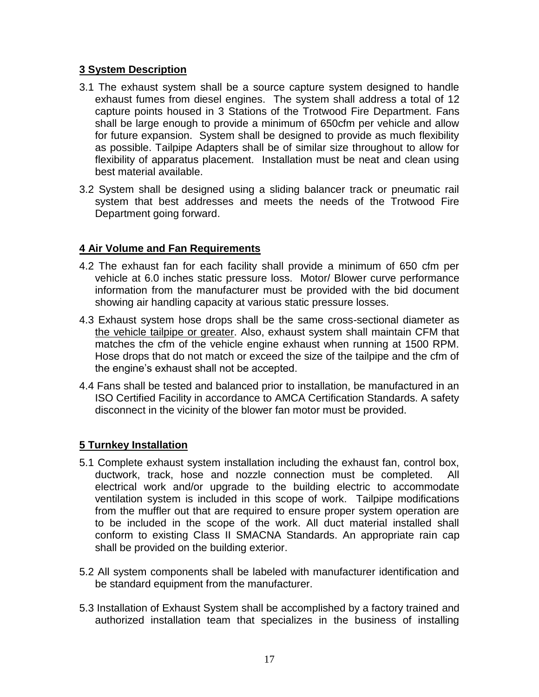## **3 System Description**

- 3.1 The exhaust system shall be a source capture system designed to handle exhaust fumes from diesel engines. The system shall address a total of 12 capture points housed in 3 Stations of the Trotwood Fire Department. Fans shall be large enough to provide a minimum of 650cfm per vehicle and allow for future expansion. System shall be designed to provide as much flexibility as possible. Tailpipe Adapters shall be of similar size throughout to allow for flexibility of apparatus placement. Installation must be neat and clean using best material available.
- 3.2 System shall be designed using a sliding balancer track or pneumatic rail system that best addresses and meets the needs of the Trotwood Fire Department going forward.

# **4 Air Volume and Fan Requirements**

- 4.2 The exhaust fan for each facility shall provide a minimum of 650 cfm per vehicle at 6.0 inches static pressure loss. Motor/ Blower curve performance information from the manufacturer must be provided with the bid document showing air handling capacity at various static pressure losses.
- 4.3 Exhaust system hose drops shall be the same cross-sectional diameter as the vehicle tailpipe or greater. Also, exhaust system shall maintain CFM that matches the cfm of the vehicle engine exhaust when running at 1500 RPM. Hose drops that do not match or exceed the size of the tailpipe and the cfm of the engine's exhaust shall not be accepted.
- 4.4 Fans shall be tested and balanced prior to installation, be manufactured in an ISO Certified Facility in accordance to AMCA Certification Standards. A safety disconnect in the vicinity of the blower fan motor must be provided.

# **5 Turnkey Installation**

- 5.1 Complete exhaust system installation including the exhaust fan, control box, ductwork, track, hose and nozzle connection must be completed. All electrical work and/or upgrade to the building electric to accommodate ventilation system is included in this scope of work. Tailpipe modifications from the muffler out that are required to ensure proper system operation are to be included in the scope of the work. All duct material installed shall conform to existing Class II SMACNA Standards. An appropriate rain cap shall be provided on the building exterior.
- 5.2 All system components shall be labeled with manufacturer identification and be standard equipment from the manufacturer.
- 5.3 Installation of Exhaust System shall be accomplished by a factory trained and authorized installation team that specializes in the business of installing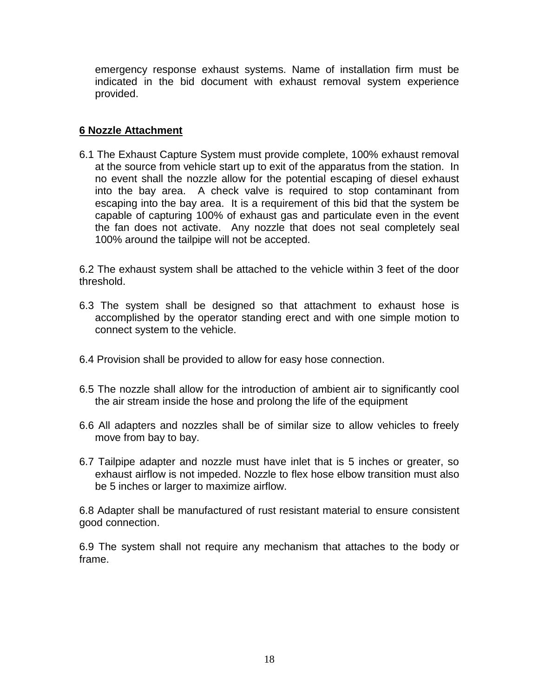emergency response exhaust systems. Name of installation firm must be indicated in the bid document with exhaust removal system experience provided.

## **6 Nozzle Attachment**

6.1 The Exhaust Capture System must provide complete, 100% exhaust removal at the source from vehicle start up to exit of the apparatus from the station. In no event shall the nozzle allow for the potential escaping of diesel exhaust into the bay area. A check valve is required to stop contaminant from escaping into the bay area. It is a requirement of this bid that the system be capable of capturing 100% of exhaust gas and particulate even in the event the fan does not activate. Any nozzle that does not seal completely seal 100% around the tailpipe will not be accepted.

6.2 The exhaust system shall be attached to the vehicle within 3 feet of the door threshold.

- 6.3 The system shall be designed so that attachment to exhaust hose is accomplished by the operator standing erect and with one simple motion to connect system to the vehicle.
- 6.4 Provision shall be provided to allow for easy hose connection.
- 6.5 The nozzle shall allow for the introduction of ambient air to significantly cool the air stream inside the hose and prolong the life of the equipment
- 6.6 All adapters and nozzles shall be of similar size to allow vehicles to freely move from bay to bay.
- 6.7 Tailpipe adapter and nozzle must have inlet that is 5 inches or greater, so exhaust airflow is not impeded. Nozzle to flex hose elbow transition must also be 5 inches or larger to maximize airflow.

6.8 Adapter shall be manufactured of rust resistant material to ensure consistent good connection.

6.9 The system shall not require any mechanism that attaches to the body or frame.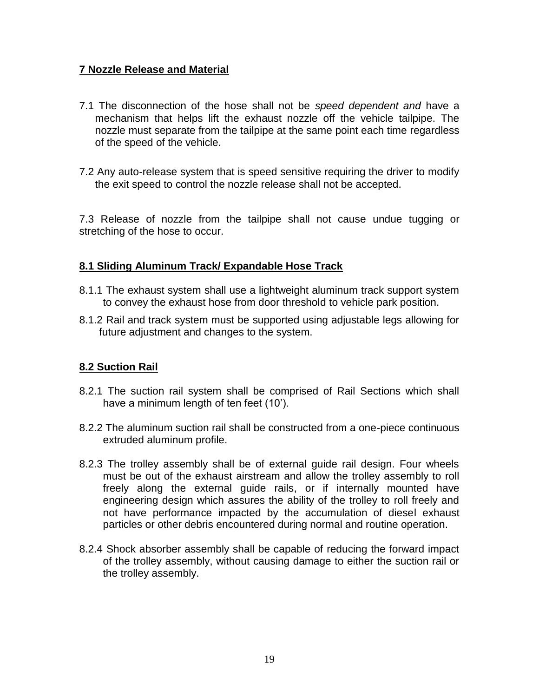# **7 Nozzle Release and Material**

- 7.1 The disconnection of the hose shall not be *speed dependent and* have a mechanism that helps lift the exhaust nozzle off the vehicle tailpipe. The nozzle must separate from the tailpipe at the same point each time regardless of the speed of the vehicle.
- 7.2 Any auto-release system that is speed sensitive requiring the driver to modify the exit speed to control the nozzle release shall not be accepted.

7.3 Release of nozzle from the tailpipe shall not cause undue tugging or stretching of the hose to occur.

# **8.1 Sliding Aluminum Track/ Expandable Hose Track**

- 8.1.1 The exhaust system shall use a lightweight aluminum track support system to convey the exhaust hose from door threshold to vehicle park position.
- 8.1.2 Rail and track system must be supported using adjustable legs allowing for future adjustment and changes to the system.

# **8.2 Suction Rail**

- 8.2.1 The suction rail system shall be comprised of Rail Sections which shall have a minimum length of ten feet (10').
- 8.2.2 The aluminum suction rail shall be constructed from a one-piece continuous extruded aluminum profile.
- 8.2.3 The trolley assembly shall be of external guide rail design. Four wheels must be out of the exhaust airstream and allow the trolley assembly to roll freely along the external guide rails, or if internally mounted have engineering design which assures the ability of the trolley to roll freely and not have performance impacted by the accumulation of diesel exhaust particles or other debris encountered during normal and routine operation.
- 8.2.4 Shock absorber assembly shall be capable of reducing the forward impact of the trolley assembly, without causing damage to either the suction rail or the trolley assembly.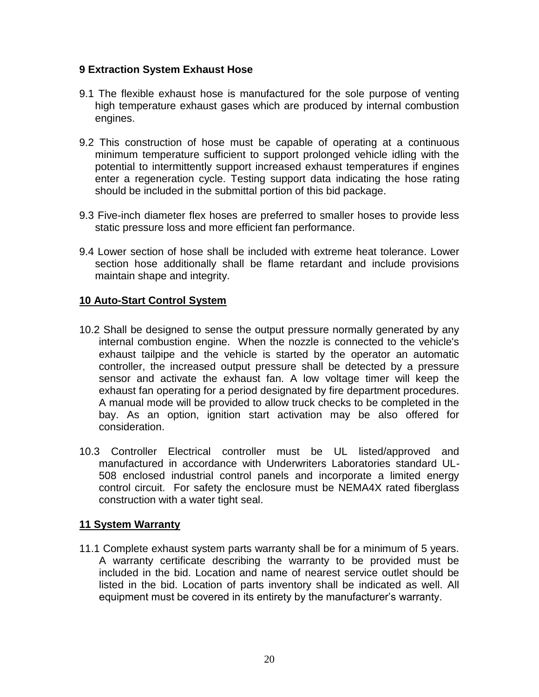## **9 Extraction System Exhaust Hose**

- 9.1 The flexible exhaust hose is manufactured for the sole purpose of venting high temperature exhaust gases which are produced by internal combustion engines.
- 9.2 This construction of hose must be capable of operating at a continuous minimum temperature sufficient to support prolonged vehicle idling with the potential to intermittently support increased exhaust temperatures if engines enter a regeneration cycle. Testing support data indicating the hose rating should be included in the submittal portion of this bid package.
- 9.3 Five-inch diameter flex hoses are preferred to smaller hoses to provide less static pressure loss and more efficient fan performance.
- 9.4 Lower section of hose shall be included with extreme heat tolerance. Lower section hose additionally shall be flame retardant and include provisions maintain shape and integrity.

# **10 Auto-Start Control System**

- 10.2 Shall be designed to sense the output pressure normally generated by any internal combustion engine. When the nozzle is connected to the vehicle's exhaust tailpipe and the vehicle is started by the operator an automatic controller, the increased output pressure shall be detected by a pressure sensor and activate the exhaust fan. A low voltage timer will keep the exhaust fan operating for a period designated by fire department procedures. A manual mode will be provided to allow truck checks to be completed in the bay. As an option, ignition start activation may be also offered for consideration.
- 10.3 Controller Electrical controller must be UL listed/approved and manufactured in accordance with Underwriters Laboratories standard UL-508 enclosed industrial control panels and incorporate a limited energy control circuit. For safety the enclosure must be NEMA4X rated fiberglass construction with a water tight seal.

# **11 System Warranty**

11.1 Complete exhaust system parts warranty shall be for a minimum of 5 years. A warranty certificate describing the warranty to be provided must be included in the bid. Location and name of nearest service outlet should be listed in the bid. Location of parts inventory shall be indicated as well. All equipment must be covered in its entirety by the manufacturer's warranty.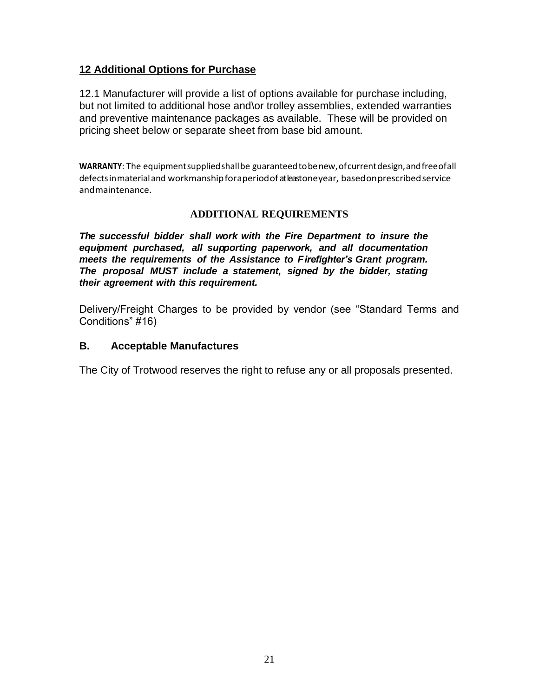# **12 Additional Options for Purchase**

12.1 Manufacturer will provide a list of options available for purchase including, but not limited to additional hose and\or trolley assemblies, extended warranties and preventive maintenance packages as available. These will be provided on pricing sheet below or separate sheet from base bid amount.

**WARRANTY**: The equipmentsuppliedshallbe guaranteedtobenew,ofcurrentdesign,andfreeofall defectsinmaterialand workmanshipforaperiodof at least oneyear, basedonprescribedservice andmaintenance.

### **ADDITIONAL REQUIREMENTS**

*The successful bidder shall work with the Fire Department to insure the equipment purchased, all supporting paperwork, and all documentation meets the requirements of the Assistance to Firefighter's Grant program. The proposal MUST include a statement, signed by the bidder, stating their agreement with this requirement.*

Delivery/Freight Charges to be provided by vendor (see "Standard Terms and Conditions" #16)

### **B. Acceptable Manufactures**

The City of Trotwood reserves the right to refuse any or all proposals presented.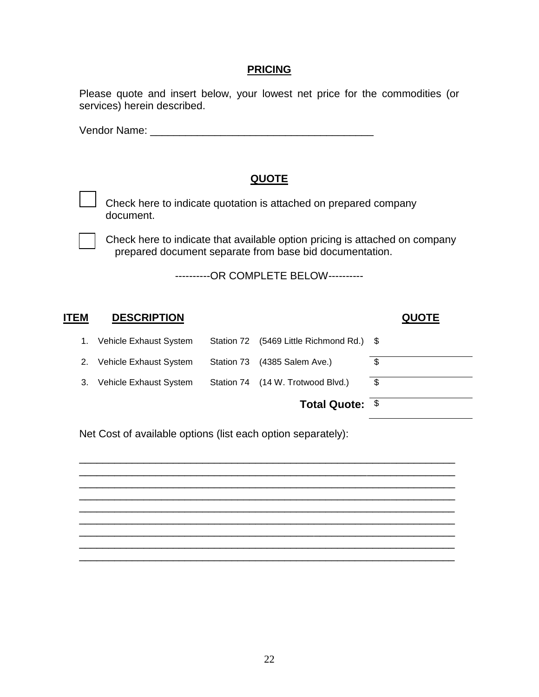### **PRICING**

Please quote and insert below, your lowest net price for the commodities (or services) herein described.

Vendor Name: \_\_\_\_\_\_\_\_\_\_\_\_\_\_\_\_\_\_\_\_\_\_\_\_\_\_\_\_\_\_\_\_\_\_\_\_\_\_

# **QUOTE**

Check here to indicate quotation is attached on prepared company document.

Check here to indicate that available option pricing is attached on company prepared document separate from base bid documentation.

----------OR COMPLETE BELOW----------

| ITEM | <b>DESCRIPTION</b>     |            |                                   | <b>QUOTE</b> |
|------|------------------------|------------|-----------------------------------|--------------|
| 1.   | Vehicle Exhaust System | Station 72 | $(5469$ Little Richmond Rd.) $\$$ |              |
| 2.   | Vehicle Exhaust System | Station 73 | $(4385$ Salem Ave.)               | \$           |
| 3.   | Vehicle Exhaust System |            | Station 74 (14 W. Trotwood Blvd.) | \$           |
|      |                        |            | Total Quote: \$                   |              |

\_\_\_\_\_\_\_\_\_\_\_\_\_\_\_\_\_\_\_\_\_\_\_\_\_\_\_\_\_\_\_\_\_\_\_\_\_\_\_\_\_\_\_\_\_\_\_\_\_\_\_\_\_\_\_\_\_\_\_\_\_\_\_\_ \_\_\_\_\_\_\_\_\_\_\_\_\_\_\_\_\_\_\_\_\_\_\_\_\_\_\_\_\_\_\_\_\_\_\_\_\_\_\_\_\_\_\_\_\_\_\_\_\_\_\_\_\_\_\_\_\_\_\_\_\_\_\_\_ \_\_\_\_\_\_\_\_\_\_\_\_\_\_\_\_\_\_\_\_\_\_\_\_\_\_\_\_\_\_\_\_\_\_\_\_\_\_\_\_\_\_\_\_\_\_\_\_\_\_\_\_\_\_\_\_\_\_\_\_\_\_\_\_ \_\_\_\_\_\_\_\_\_\_\_\_\_\_\_\_\_\_\_\_\_\_\_\_\_\_\_\_\_\_\_\_\_\_\_\_\_\_\_\_\_\_\_\_\_\_\_\_\_\_\_\_\_\_\_\_\_\_\_\_\_\_\_\_ \_\_\_\_\_\_\_\_\_\_\_\_\_\_\_\_\_\_\_\_\_\_\_\_\_\_\_\_\_\_\_\_\_\_\_\_\_\_\_\_\_\_\_\_\_\_\_\_\_\_\_\_\_\_\_\_\_\_\_\_\_\_\_\_ \_\_\_\_\_\_\_\_\_\_\_\_\_\_\_\_\_\_\_\_\_\_\_\_\_\_\_\_\_\_\_\_\_\_\_\_\_\_\_\_\_\_\_\_\_\_\_\_\_\_\_\_\_\_\_\_\_\_\_\_\_\_\_\_ \_\_\_\_\_\_\_\_\_\_\_\_\_\_\_\_\_\_\_\_\_\_\_\_\_\_\_\_\_\_\_\_\_\_\_\_\_\_\_\_\_\_\_\_\_\_\_\_\_\_\_\_\_\_\_\_\_\_\_\_\_\_\_\_

\_\_\_\_\_\_\_\_\_\_\_\_\_\_\_\_\_\_\_\_\_\_\_\_\_\_\_\_\_\_\_\_\_\_\_\_\_\_\_\_\_\_\_\_\_\_\_\_\_\_\_\_\_\_\_\_\_\_\_\_\_\_\_\_

Net Cost of available options (list each option separately):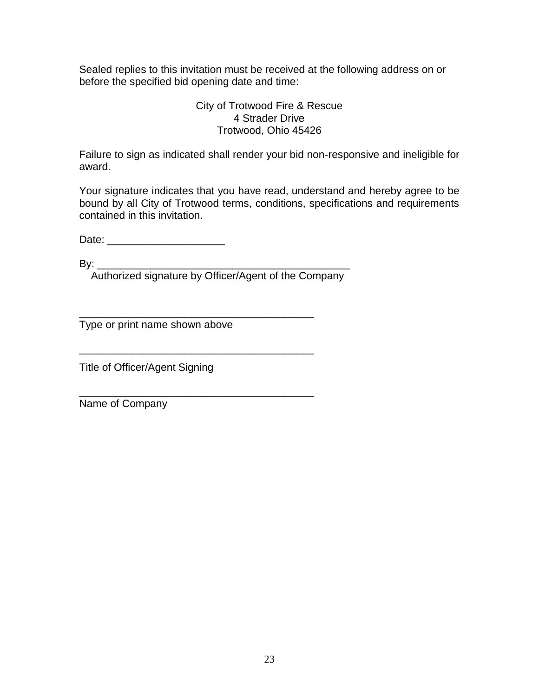Sealed replies to this invitation must be received at the following address on or before the specified bid opening date and time:

### City of Trotwood Fire & Rescue 4 Strader Drive Trotwood, Ohio 45426

Failure to sign as indicated shall render your bid non-responsive and ineligible for award.

Your signature indicates that you have read, understand and hereby agree to be bound by all City of Trotwood terms, conditions, specifications and requirements contained in this invitation.

Date: \_\_\_\_\_\_\_\_\_\_\_\_\_\_\_\_\_\_\_\_

 $\mathsf{B} \mathsf{v}$ :

Authorized signature by Officer/Agent of the Company

\_\_\_\_\_\_\_\_\_\_\_\_\_\_\_\_\_\_\_\_\_\_\_\_\_\_\_\_\_\_\_\_\_\_\_\_\_\_\_\_

\_\_\_\_\_\_\_\_\_\_\_\_\_\_\_\_\_\_\_\_\_\_\_\_\_\_\_\_\_\_\_\_\_\_\_\_\_\_\_\_

\_\_\_\_\_\_\_\_\_\_\_\_\_\_\_\_\_\_\_\_\_\_\_\_\_\_\_\_\_\_\_\_\_\_\_\_\_\_\_\_ Type or print name shown above

Title of Officer/Agent Signing

Name of Company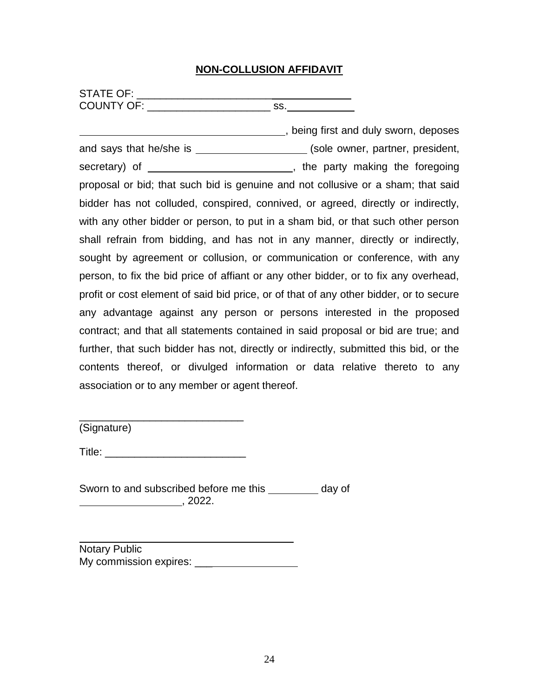## **NON-COLLUSION AFFIDAVIT**

| <b>STATE OF:</b>  |  |
|-------------------|--|
| <b>COUNTY OF:</b> |  |

**EXECUTE:** being first and duly sworn, deposes and says that he/she is \_\_\_\_\_\_\_\_\_\_\_\_\_\_\_\_\_\_\_\_\_(sole owner, partner, president, secretary) of , the party making the foregoing proposal or bid; that such bid is genuine and not collusive or a sham; that said bidder has not colluded, conspired, connived, or agreed, directly or indirectly, with any other bidder or person, to put in a sham bid, or that such other person shall refrain from bidding, and has not in any manner, directly or indirectly, sought by agreement or collusion, or communication or conference, with any person, to fix the bid price of affiant or any other bidder, or to fix any overhead, profit or cost element of said bid price, or of that of any other bidder, or to secure any advantage against any person or persons interested in the proposed contract; and that all statements contained in said proposal or bid are true; and further, that such bidder has not, directly or indirectly, submitted this bid, or the contents thereof, or divulged information or data relative thereto to any association or to any member or agent thereof.

(Signature)

Title: \_\_\_\_\_\_\_\_\_\_\_\_\_\_\_\_\_\_\_\_\_\_\_\_

\_\_\_\_\_\_\_\_\_\_\_\_\_\_\_\_\_\_\_\_\_\_\_\_\_\_\_\_

Sworn to and subscribed before me this \_\_\_\_\_\_\_\_ day of  $, 2022.$ 

l Notary Public My commission expires: \_\_\_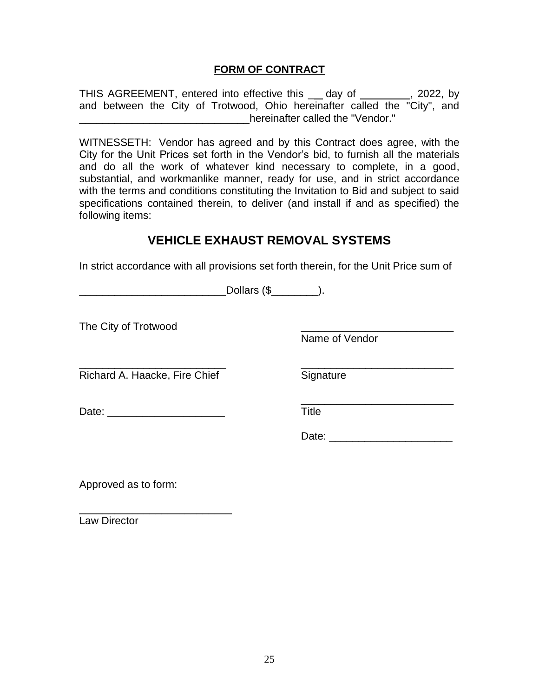### **FORM OF CONTRACT**

THIS AGREEMENT, entered into effective this \_\_ day of \_\_\_\_\_\_\_\_, 2022, by and between the City of Trotwood, Ohio hereinafter called the "City", and \_\_\_\_\_\_\_\_\_\_\_\_\_\_\_\_\_\_\_\_\_\_\_\_\_\_\_\_\_hereinafter called the "Vendor."

WITNESSETH: Vendor has agreed and by this Contract does agree, with the City for the Unit Prices set forth in the Vendor's bid, to furnish all the materials and do all the work of whatever kind necessary to complete, in a good, substantial, and workmanlike manner, ready for use, and in strict accordance with the terms and conditions constituting the Invitation to Bid and subject to said specifications contained therein, to deliver (and install if and as specified) the following items:

# **VEHICLE EXHAUST REMOVAL SYSTEMS**

In strict accordance with all provisions set forth therein, for the Unit Price sum of

\_\_\_\_\_\_\_\_\_\_\_\_\_\_\_\_\_\_\_\_\_\_\_\_\_ \_\_\_\_\_\_\_\_\_\_\_\_\_\_\_\_\_\_\_\_\_\_\_\_\_\_

\_\_\_\_\_\_\_\_\_\_\_\_\_\_\_\_\_\_\_\_\_\_\_\_\_Dollars (\$\_\_\_\_\_\_\_\_).

The City of Trotwood

Name of Vendor

Richard A. Haacke, Fire Chief Signature

Date: \_\_\_\_\_\_\_\_\_\_\_\_\_\_\_\_\_\_\_\_ Title

Date:  $\Box$ 

\_\_\_\_\_\_\_\_\_\_\_\_\_\_\_\_\_\_\_\_\_\_\_\_\_\_

Approved as to form:

\_\_\_\_\_\_\_\_\_\_\_\_\_\_\_\_\_\_\_\_\_\_\_\_\_\_ Law Director